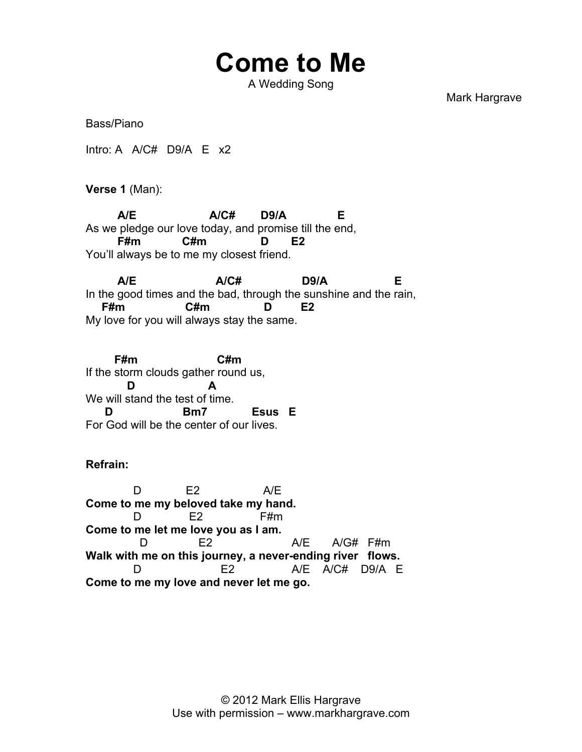## **Come to Me**

A Wedding Song

Mark Hargrave

Bass/Piano

Intro: A A/C# D9/A E x2

**Verse 1** (Man):

 **A/E A/C# D9/A E** As we pledge our love today, and promise till the end,  **F#m C#m D E2** You'll always be to me my closest friend.

 **A/E A/C# D9/A E** In the good times and the bad, through the sunshine and the rain,  **F#m C#m D E2** My love for you will always stay the same.

 **F#m C#m** If the storm clouds gather round us,  **D A** We will stand the test of time.  **D Bm7 Esus E** For God will be the center of our lives.

## **Refrain:**

 D E2 A/E **Come to me my beloved take my hand.**  D E2 F#m **Come to me let me love you as I am.** D E2 A/E A/G# F#m **Walk with me on this journey, a never-ending river flows.** D E2 A/E A/C# D9/A E **Come to me my love and never let me go.**